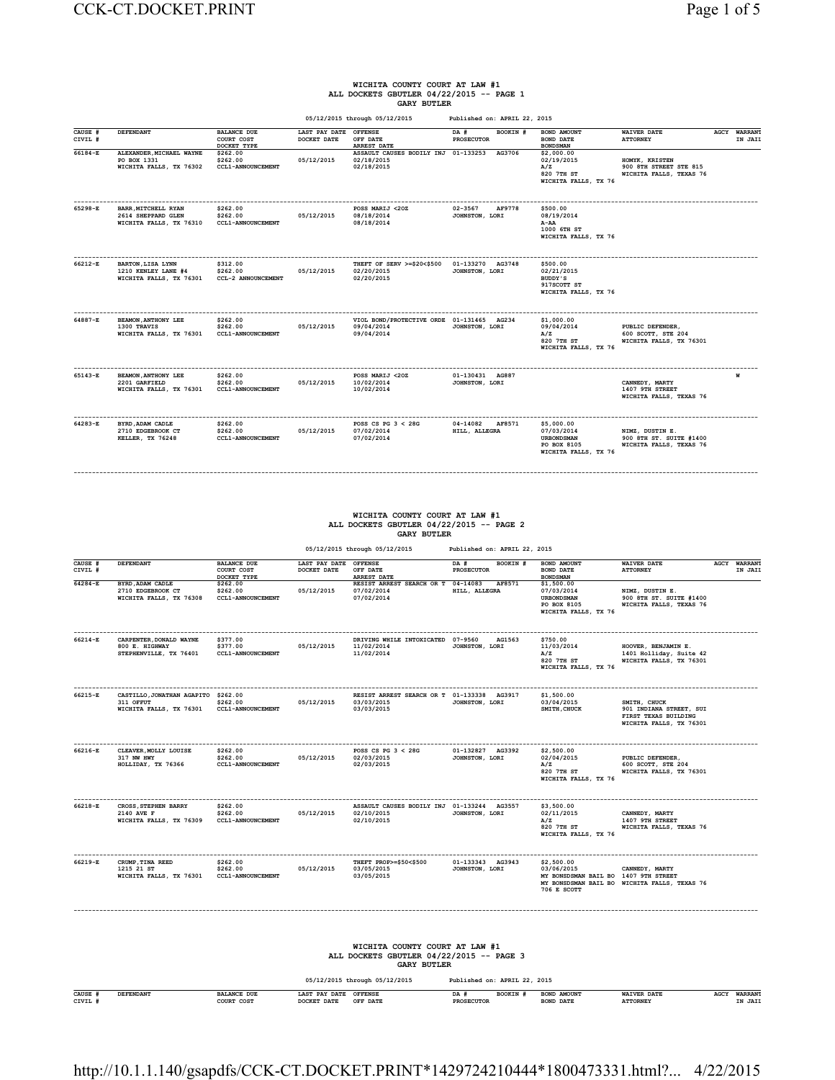### **WICHITA COUNTY COURT AT LAW #1 ALL DOCKETS GBUTLER 04/22/2015 -- PAGE 1 GARY BUTLER**

|                    |                                                                             |                                                  |                              | 05/12/2015 through 05/12/2015                                         | Published on: APRIL 22, 2015            |                                                                                      |                                                                       |                                |
|--------------------|-----------------------------------------------------------------------------|--------------------------------------------------|------------------------------|-----------------------------------------------------------------------|-----------------------------------------|--------------------------------------------------------------------------------------|-----------------------------------------------------------------------|--------------------------------|
| CAUSE #<br>CIVIL # | DEFENDANT                                                                   | <b>BALANCE DUE</b><br>COURT COST<br>DOCKET TYPE  | LAST PAY DATE<br>DOCKET DATE | <b>OFFENSE</b><br>OFF DATE<br><b>ARREST DATE</b>                      | DA #<br>BOOKIN #<br><b>PROSECUTOR</b>   | BOND AMOUNT<br><b>BOND DATE</b><br><b>BONDSMAN</b>                                   | <b>WAIVER DATE</b><br><b>ATTORNEY</b>                                 | <b>AGCY WARRANT</b><br>IN JAIL |
| $66184 - E$        | ALEXANDER, MICHAEL WAYNE<br>PO BOX 1331<br>WICHITA FALLS, TX 76302          | \$262.00<br>\$262.00<br><b>CCL1-ANNOUNCEMENT</b> | 05/12/2015                   | ASSAULT CAUSES BODILY INJ 01-133253<br>02/18/2015<br>02/18/2015       | AG3706                                  | \$2,000.00<br>02/19/2015<br>A/Z<br>820 7TH ST<br>WICHITA FALLS, TX 76                | HOMYK, KRISTEN<br>900 8TH STREET STE 815<br>WICHITA FALLS, TEXAS 76   |                                |
| 65298-E            | <b>BARR. MITCHELL RYAN</b><br>2614 SHEPPARD GLEN<br>WICHITA FALLS, TX 76310 | \$262.00<br>\$262.00<br><b>CCL1-ANNOUNCEMENT</b> | 05/12/2015                   | POSS MARIJ <20Z<br>08/18/2014<br>08/18/2014                           | $02 - 3567$<br>AF9778<br>JOHNSTON, LORI | \$500.00<br>08/19/2014<br>A-AA<br>1000 6TH ST<br>WICHITA FALLS, TX 76                |                                                                       |                                |
| 66212-E            | <b>BARTON, LISA LYNN</b><br>1210 KENLEY LANE #4<br>WICHITA FALLS, TX 76301  | \$312.00<br>\$262.00<br>CCL-2 ANNOUNCEMENT       | 05/12/2015                   | THEFT OF SERV >=\$20<\$500<br>02/20/2015<br>02/20/2015                | 01-133270 AG3748<br>JOHNSTON, LORI      | \$500.00<br>02/21/2015<br>BUDDY'S<br>917SCOTT ST<br>WICHITA FALLS, TX 76             |                                                                       |                                |
| 64887-E            | <b>BEAMON, ANTHONY LEE</b><br>1300 TRAVIS<br>WICHITA FALLS, TX 76301        | \$262.00<br>\$262.00<br><b>CCL1-ANNOUNCEMENT</b> | 05/12/2015                   | VIOL BOND/PROTECTIVE ORDE 01-131465 AG234<br>09/04/2014<br>09/04/2014 | JOHNSTON, LORI                          | \$1,000.00<br>09/04/2014<br>A/Z<br>820 7TH ST<br>WICHITA FALLS, TX 76                | PUBLIC DEFENDER,<br>600 SCOTT, STE 204<br>WICHITA FALLS, TX 76301     |                                |
| 65143-E            | <b>BEAMON, ANTHONY LEE</b><br>2201 GARFIELD<br>WICHITA FALLS, TX 76301      | \$262.00<br>\$262.00<br><b>CCL1-ANNOUNCEMENT</b> | 05/12/2015                   | POSS MARIJ <20Z<br>10/02/2014<br>10/02/2014                           | 01-130431 AG887<br>JOHNSTON, LORI       |                                                                                      | CANNEDY, MARTY<br>1407 9TH STREET<br>WICHITA FALLS, TEXAS 76          |                                |
| 64283-E            | BYRD, ADAM CADLE<br>2710 EDGEBROOK CT<br>KELLER, TX 76248                   | \$262.00<br>\$262.00<br>CCL1-ANNOUNCEMENT        | 05/12/2015                   | POSS CS PG $3 < 28$ G<br>07/02/2014<br>07/02/2014                     | 04-14082<br>AF8571<br>HILL, ALLEGRA     | \$5,000.00<br>07/03/2014<br><b>URBONDSMAN</b><br>PO BOX 8105<br>WICHITA FALLS, TX 76 | NIMZ, DUSTIN E.<br>900 8TH ST. SUITE #1400<br>WICHITA FALLS, TEXAS 76 |                                |

# **WICHITA COUNTY COURT AT LAW #1 ALL DOCKETS GBUTLER 04/22/2015 -- PAGE 2 GARY BUTLER**

**------------------------------------------------------------------------------------------------------------------------------------------------------------------------------------------**

 **05/12/2015 through 05/12/2015 Published on: APRIL 22, 2015**

| CAUSE #<br>CIVIL # | <b>DEFENDANT</b>                                                                         | <b>BALANCE DUE</b><br>COURT COST<br>DOCKET TYPE  | LAST PAY DATE<br>DOCKET DATE | <b>OFFENSE</b><br>OFF DATE<br><b>ARREST DATE</b>                                                 | <b>BOOKIN #</b><br>DA #<br><b>PROSECUTOR</b>                          | BOND AMOUNT<br><b>BOND DATE</b><br><b>BONDSMAN</b>                                   | <b>WAIVER DATE</b><br><b>ATTORNEY</b>                                                      | AGCY | <b>WARRANT</b><br>IN JAIL |
|--------------------|------------------------------------------------------------------------------------------|--------------------------------------------------|------------------------------|--------------------------------------------------------------------------------------------------|-----------------------------------------------------------------------|--------------------------------------------------------------------------------------|--------------------------------------------------------------------------------------------|------|---------------------------|
| $64284 - E$        | BYRD, ADAM CADLE<br>2710 EDGEBROOK CT<br>WICHITA FALLS, TX 76308                         | \$262.00<br>\$262.00<br>CCL1-ANNOUNCEMENT        | 05/12/2015                   | RESIST ARREST SEARCH OR T 04-14083<br>07/02/2014<br>07/02/2014                                   | AF8571<br>HILL, ALLEGRA                                               | \$1,500.00<br>07/03/2014<br><b>URBONDSMAN</b><br>PO BOX 8105<br>WICHITA FALLS, TX 76 | NIMZ, DUSTIN E.<br>900 8TH ST. SUITE #1400<br>WICHITA FALLS, TEXAS 76                      |      |                           |
| 66214-E            | CARPENTER, DONALD WAYNE<br>800 E. HIGHWAY<br>STEPHENVILLE, TX 76401                      | \$377.00<br>\$377.00<br>CCL1-ANNOUNCEMENT        | 05/12/2015                   | DRIVING WHILE INTOXICATED<br>11/02/2014<br>11/02/2014                                            | 07-9560<br>AG1563<br>JOHNSTON, LORI                                   | \$750.00<br>11/03/2014<br>A/Z<br>820 7TH ST<br>WICHITA FALLS, TX 76                  | HOOVER, BENJAMIN E.<br>1401 Holliday, Suite 42<br>WICHITA FALLS, TX 76301                  |      |                           |
| $66215 - R$        | ------------------<br>CASTILLO, JONATHAN AGAPITO<br>311 OFFUT<br>WICHITA FALLS, TX 76301 | \$262.00<br>\$262.00<br>CCL1-ANNOUNCEMENT        | 05/12/2015                   | RESIST ARREST SEARCH OR T 01-133338 AG3917<br>03/03/2015<br>03/03/2015                           | JOHNSTON, LORI                                                        | \$1,500.00<br>03/04/2015<br>SMITH, CHUCK                                             | SMITH, CHUCK<br>901 INDIANA STREET, SUI<br>FIRST TEXAS BUILDING<br>WICHITA FALLS, TX 76301 |      |                           |
| 66216-E            | CLEAVER, MOLLY LOUISE<br>317 NW HWY<br>HOLLIDAY, TX 76366                                | \$262.00<br>\$262.00<br><b>CCL1-ANNOUNCEMENT</b> | 05/12/2015                   | POSS CS PG $3 < 28$ G<br>02/03/2015<br>02/03/2015                                                | 01-132827 AG3392<br>JOHNSTON, LORI                                    | \$2,500.00<br>02/04/2015<br>A/Z<br>820 7TH ST<br>WICHITA FALLS, TX 76                | PUBLIC DEFENDER,<br>600 SCOTT, STE 204<br>WICHITA FALLS, TX 76301                          |      |                           |
| 66218-E            | <b>CROSS, STEPHEN BARRY</b><br>2140 AVE F<br>WICHITA FALLS, TX 76309                     | \$262.00<br>\$262.00<br><b>CCL1-ANNOUNCEMENT</b> | 05/12/2015                   | ASSAULT CAUSES BODILY INJ 01-133244 AG3557<br>02/10/2015<br>02/10/2015                           | JOHNSTON, LORI                                                        | \$3,500.00<br>02/11/2015<br>A/Z<br>820 7TH ST<br>WICHITA FALLS, TX 76                | CANNEDY, MARTY<br>1407 9TH STREET<br>WICHITA FALLS, TEXAS 76                               |      |                           |
| 66219-E            | CRUMP, TINA REED<br>1215 21 ST<br>WICHITA FALLS, TX 76301                                | \$262.00<br>\$262.00<br><b>CCL1-ANNOUNCEMENT</b> | 05/12/2015                   | THEFT PROP>=\$50<\$500<br>03/05/2015<br>03/05/2015                                               | 01-133343 AG3943<br>JOHNSTON, LORI                                    | \$2,500.00<br>03/06/2015<br>MY BONSDSMAN BAIL BO 1407 9TH STREET<br>706 E SCOTT      | CANNEDY, MARTY<br>MY BONSDSMAN BAIL BO WICHITA FALLS, TEXAS 76                             |      |                           |
|                    |                                                                                          |                                                  |                              | WICHITA COUNTY COURT AT LAW #1<br>ALL DOCKETS GBUTLER 04/22/2015 -- PAGE 3<br><b>GARY BUTLER</b> |                                                                       |                                                                                      |                                                                                            |      |                           |
| CAUSE #<br>CIVIL # | <b>DEFENDANT</b>                                                                         | <b>BALANCE DUE</b><br>COURT COST                 | LAST PAY DATE<br>DOCKET DATE | 05/12/2015 through 05/12/2015<br><b>OFFENSE</b><br>OFF DATE                                      | Published on: APRIL 22, 2015<br>DA #<br>BOOKIN #<br><b>PROSECUTOR</b> | BOND AMOUNT<br><b>BOND DATE</b>                                                      | <b>WAIVER DATE</b><br><b>ATTORNEY</b>                                                      |      | AGCY WARRANT<br>IN JAII   |
|                    |                                                                                          |                                                  |                              |                                                                                                  |                                                                       |                                                                                      |                                                                                            |      |                           |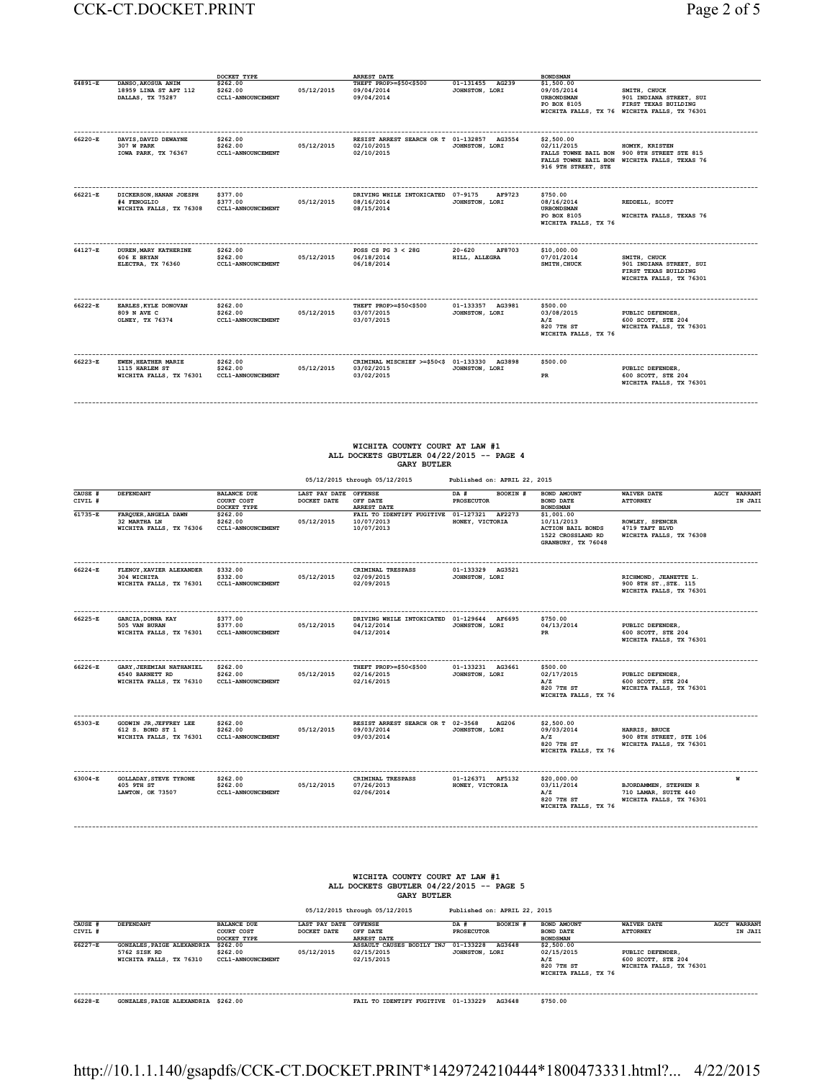## CCK-CT.DOCKET.PRINT Page 2 of 5

| Page 2 of 5 |  |  |  |
|-------------|--|--|--|
|-------------|--|--|--|

|         |                                                                         | DOCKET TYPE                                      |            | <b>ARREST DATE</b>                                                       |                                       | <b>BONDSMAN</b>                                                                    |                                                                                                                 |
|---------|-------------------------------------------------------------------------|--------------------------------------------------|------------|--------------------------------------------------------------------------|---------------------------------------|------------------------------------------------------------------------------------|-----------------------------------------------------------------------------------------------------------------|
| 64891-E | DANSO.AKOSUA ANIM<br>18959 LINA ST APT 112<br>DALLAS, TX 75287          | \$262.00<br>\$262.00<br><b>CCL1-ANNOUNCEMENT</b> | 05/12/2015 | THEFT PROP>=\$50<\$500<br>09/04/2014<br>09/04/2014                       | 01-131455 AG239<br>JOHNSTON, LORI     | \$1,500.00<br>09/05/2014<br><b>URBONDSMAN</b><br>PO BOX 8105                       | SMITH, CHUCK<br>901 INDIANA STREET, SUI<br>FIRST TEXAS BUILDING<br>WICHITA FALLS, TX 76 WICHITA FALLS, TX 76301 |
| 66220-E | DAVIS, DAVID DEWAYNE<br>307 W PARK<br>IOWA PARK, TX 76367               | \$262.00<br>\$262.00<br><b>CCL1-ANNOUNCEMENT</b> | 05/12/2015 | RESIST ARREST SEARCH OR T 01-132857 AG3554<br>02/10/2015<br>02/10/2015   | JOHNSTON, LORI                        | \$2,500.00<br>02/11/2015<br>916 9TH STREET, STE                                    | HOMYK, KRISTEN<br>FALLS TOWNE BAIL BON 900 8TH STREET STE 815<br>FALLS TOWNE BAIL BON WICHITA FALLS, TEXAS 76   |
| 66221-E | DICKERSON, HANAN JOESPH<br>#4 FENOGLIO<br>WICHITA FALLS, TX 76308       | \$377.00<br>\$377.00<br><b>CCL1-ANNOUNCEMENT</b> | 05/12/2015 | DRIVING WHILE INTOXICATED 07-9175<br>08/16/2014<br>08/15/2014            | AF9723<br>JOHNSTON, LORI              | \$750.00<br>08/16/2014<br><b>URBONDSMAN</b><br>PO BOX 8105<br>WICHITA FALLS, TX 76 | REDDELL, SCOTT<br>WICHITA FALLS, TEXAS 76                                                                       |
| 64127-E | <b>DUREN.MARY KATHERINE</b><br>606 E BRYAN<br>ELECTRA, TX 76360         | \$262.00<br>\$262.00<br><b>CCL1-ANNOUNCEMENT</b> | 05/12/2015 | POSS CS PG $3 < 28$ G<br>06/18/2014<br>06/18/2014                        | $20 - 620$<br>AF8703<br>HILL, ALLEGRA | \$10,000.00<br>07/01/2014<br>SMITH.CHUCK                                           | SMITH, CHUCK<br>901 INDIANA STREET, SUI<br>FIRST TEXAS BUILDING<br>WICHITA FALLS, TX 76301                      |
| 66222-E | EARLES, KYLE DONOVAN<br>809 N AVE C<br>OLNEY, TX 76374                  | \$262.00<br>\$262.00<br><b>CCL1-ANNOUNCEMENT</b> | 05/12/2015 | THEFT PROP>=\$50<\$500<br>03/07/2015<br>03/07/2015                       | 01-133357 AG3981<br>JOHNSTON, LORI    | \$500.00<br>03/08/2015<br>A/Z<br>820 7TH ST<br>WICHITA FALLS, TX 76                | PUBLIC DEFENDER,<br>600 SCOTT, STE 204<br>WICHITA FALLS, TX 76301                                               |
| 66223-E | <b>EWEN, HEATHER MARIE</b><br>1115 HARLEM ST<br>WICHITA FALLS, TX 76301 | \$262.00<br>\$262.00<br><b>CCL1-ANNOUNCEMENT</b> | 05/12/2015 | CRIMINAL MISCHIEF >=\$50<\$ 01-133330 AG3898<br>03/02/2015<br>03/02/2015 | JOHNSTON, LORI                        | \$500.00<br>PR                                                                     | PUBLIC DEFENDER,<br>600 SCOTT, STE 204<br>WICHITA FALLS, TX 76301                                               |

# **WICHITA COUNTY COURT AT LAW #1 ALL DOCKETS GBUTLER 04/22/2015 -- PAGE 4 GARY BUTLER**

**------------------------------------------------------------------------------------------------------------------------------------------------------------------------------------------**

|                    |                                                                        |                                                  |                              | 05/12/2015 through 05/12/2015                                          | Published on: APRIL 22, 2015          |                                                                                                 |                                                                           |                                |
|--------------------|------------------------------------------------------------------------|--------------------------------------------------|------------------------------|------------------------------------------------------------------------|---------------------------------------|-------------------------------------------------------------------------------------------------|---------------------------------------------------------------------------|--------------------------------|
| CAUSE #<br>CIVIL # | DEFENDANT                                                              | <b>BALANCE DUE</b><br>COURT COST<br>DOCKET TYPE  | LAST PAY DATE<br>DOCKET DATE | <b>OFFENSE</b><br>OFF DATE<br><b>ARREST DATE</b>                       | DA #<br>BOOKIN #<br><b>PROSECUTOR</b> | BOND AMOUNT<br><b>BOND DATE</b><br><b>BONDSMAN</b>                                              | <b>WAIVER DATE</b><br><b>ATTORNEY</b>                                     | <b>AGCY WARRANT</b><br>IN JAII |
| $61735 - E$        | FARQUER, ANGELA DAWN<br>32 MARTHA LN<br>WICHITA FALLS, TX 76306        | \$262.00<br>\$262.00<br><b>CCL1-ANNOUNCEMENT</b> | 05/12/2015                   | FAIL TO IDENTIFY FUGITIVE 01-127321 AF2273<br>10/07/2013<br>10/07/2013 | HONEY, VICTORIA                       | \$1,001.00<br>10/11/2013<br><b>ACTION BAIL BONDS</b><br>1522 CROSSLAND RD<br>GRANBURY, TX 76048 | ROWLEY, SPENCER<br>4719 TAFT BLVD<br>WICHITA FALLS, TX 76308              |                                |
| 66224-E            | FLENOY, XAVIER ALEXANDER<br>304 WICHITA<br>WICHITA FALLS, TX 76301     | \$332.00<br>\$332.00<br><b>CCL1-ANNOUNCEMENT</b> | 05/12/2015                   | CRIMINAL TRESPASS<br>02/09/2015<br>02/09/2015                          | 01-133329 AG3521<br>JOHNSTON, LORI    |                                                                                                 | RICHMOND, JEANETTE L.<br>900 8TH ST., STE. 115<br>WICHITA FALLS, TX 76301 |                                |
| 66225-E            | GARCIA, DONNA KAY<br>505 VAN BURAN<br>WICHITA FALLS, TX 76301          | \$377.00<br>\$377.00<br><b>CCL1-ANNOUNCEMENT</b> | 05/12/2015                   | DRIVING WHILE INTOXICATED 01-129644 AF6695<br>04/12/2014<br>04/12/2014 | JOHNSTON, LORI                        | \$750.00<br>04/13/2014<br>PR                                                                    | PUBLIC DEFENDER.<br>600 SCOTT, STE 204<br>WICHITA FALLS, TX 76301         |                                |
| 66226-E            | GARY, JEREMIAH NATHANIEL<br>4540 BARNETT RD<br>WICHITA FALLS, TX 76310 | \$262.00<br>\$262.00<br><b>CCL1-ANNOUNCEMENT</b> | 05/12/2015                   | THEFT PROP>=\$50<\$500<br>02/16/2015<br>02/16/2015                     | 01-133231 AG3661<br>JOHNSTON, LORI    | \$500.00<br>02/17/2015<br>A/Z<br>820 7TH ST<br>WICHITA FALLS, TX 76                             | PUBLIC DEFENDER,<br>600 SCOTT, STE 204<br>WICHITA FALLS, TX 76301         |                                |
| 65303-E            | GODWIN JR, JEFFREY LEE<br>612 S. BOND ST 1<br>WICHITA FALLS, TX 76301  | \$262.00<br>\$262.00<br><b>CCL1-ANNOUNCEMENT</b> | 05/12/2015                   | RESIST ARREST SEARCH OR T 02-3568<br>09/03/2014<br>09/03/2014          | AG206<br>JOHNSTON, LORI               | \$2,500.00<br>09/03/2014<br>A/Z<br>820 7TH ST<br>WICHITA FALLS, TX 76                           | HARRIS, BRUCE<br>900 8TH STREET, STE 106<br>WICHITA FALLS, TX 76301       |                                |
| 63004-E            | <b>GOLLADAY, STEVE TYRONE</b><br>405 9TH ST<br>LAWTON, OK 73507        | \$262.00<br>\$262.00<br><b>CCL1-ANNOUNCEMENT</b> | 05/12/2015                   | CRIMINAL TRESPASS<br>07/26/2013<br>02/06/2014                          | 01-126371 AF5132<br>HONEY, VICTORIA   | \$20,000.00<br>03/11/2014<br>A/Z<br>820 7TH ST<br>WICHITA FALLS, TX 76                          | BJORDAMMEN, STEPHEN R<br>710 LAMAR, SUITE 440<br>WICHITA FALLS, TX 76301  |                                |

|                                               | WICHITA COUNTY COURT AT LAW #1           |
|-----------------------------------------------|------------------------------------------|
|                                               | ALL DOCKETS GBUTLER 04/22/2015 -- PAGE 5 |
|                                               | <b>GARY BUTLER</b>                       |
| $AE/12/01E$ $L_{\text{boundary}}$ $AE/12/01E$ | Buildighed as: apper 00, 001E            |

**------------------------------------------------------------------------------------------------------------------------------------------------------------------------------------------**

|         |                                                                              |                                                  |               | 05/12/2015 through 05/12/2015                         |                             | Published on: APRIL 22, 2015 |                                                                       |                                                                   |      |                |
|---------|------------------------------------------------------------------------------|--------------------------------------------------|---------------|-------------------------------------------------------|-----------------------------|------------------------------|-----------------------------------------------------------------------|-------------------------------------------------------------------|------|----------------|
| CAUSE # | DEFENDANT                                                                    | <b>BALANCE DUE</b>                               | LAST PAY DATE | <b>OFFENSE</b>                                        | DA #                        | BOOKIN #                     | BOND AMOUNT                                                           | <b>WAIVER DATE</b>                                                | AGCY | <b>WARRANT</b> |
| CIVIL # |                                                                              | COURT COST<br>DOCKET TYPE                        | DOCKET DATE   | OFF DATE<br><b>ARREST DATE</b>                        | <b>PROSECUTOR</b>           |                              | <b>BOND DATE</b><br><b>BONDSMAN</b>                                   | <b>ATTORNEY</b>                                                   |      | IN JAII        |
| 66227-E | <b>GONZALES, PAIGE ALEXANDRIA</b><br>5762 SISK RD<br>WICHITA FALLS, TX 76310 | \$262.00<br>\$262.00<br><b>CCL1-ANNOUNCEMENT</b> | 05/12/2015    | ASSAULT CAUSES BODILY INJ<br>02/15/2015<br>02/15/2015 | 01-133228<br>JOHNSTON, LORI | AG3648                       | \$2,500.00<br>02/15/2015<br>A/Z<br>820 7TH ST<br>WICHITA FALLS, TX 76 | PUBLIC DEFENDER.<br>600 SCOTT, STE 204<br>WICHITA FALLS, TX 76301 |      |                |

**------------------------------------------------------------------------------------------------------------------------------------------------------------------------------------------ 66228-E GONZALES,PAIGE ALEXANDRIA \$262.00 FAIL TO IDENTIFY FUGITIVE 01-133229 AG3648 \$750.00**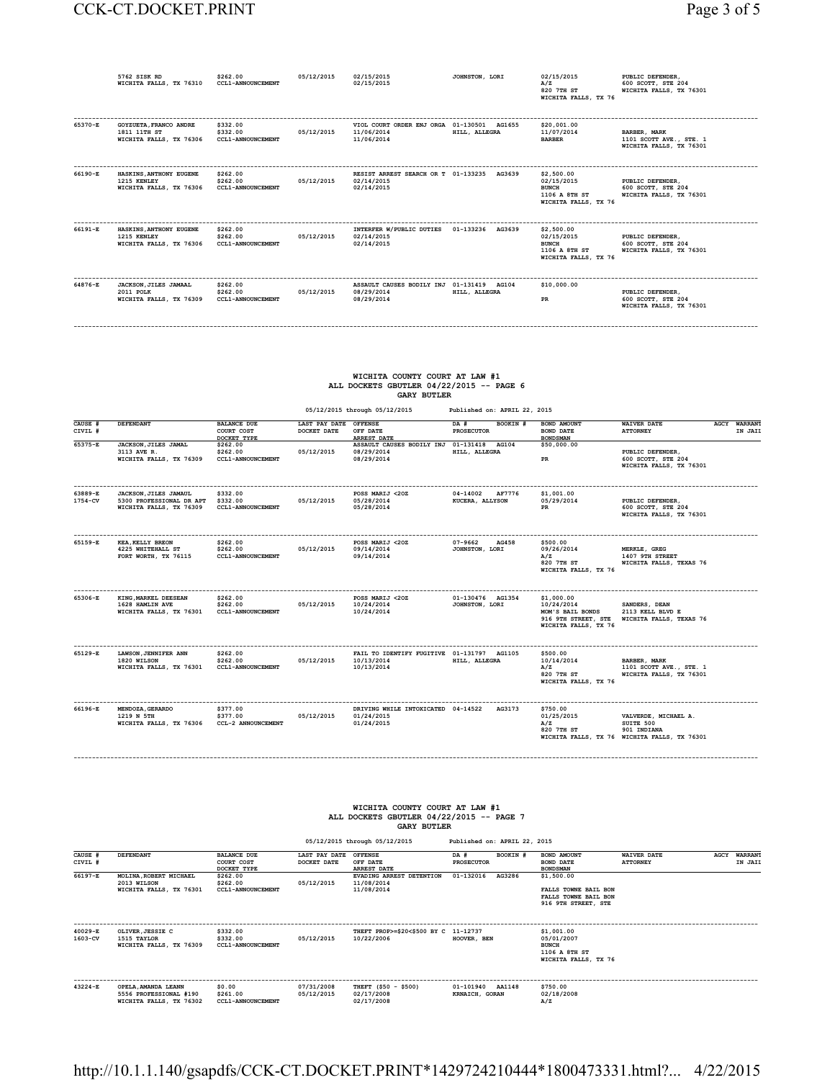|         | 5762 SISK RD<br>WICHITA FALLS, TX 76310                           | \$262.00<br><b>CCL1-ANNOUNCEMENT</b>             | 05/12/2015 | 02/15/2015<br>02/15/2015                                               | JOHNSTON, LORI | 02/15/2015<br>A/Z<br>820 7TH ST<br>WICHITA FALLS, TX 76                           | PUBLIC DEFENDER,<br>600 SCOTT, STE 204<br>WICHITA FALLS, TX 76301         |
|---------|-------------------------------------------------------------------|--------------------------------------------------|------------|------------------------------------------------------------------------|----------------|-----------------------------------------------------------------------------------|---------------------------------------------------------------------------|
| 65370-E | GOYZUETA, FRANCO ANDRE<br>1811 11TH ST<br>WICHITA FALLS, TX 76306 | \$332.00<br>\$332.00<br><b>CCL1-ANNOUNCEMENT</b> | 05/12/2015 | VIOL COURT ORDER ENJ ORGA 01-130501 AG1655<br>11/06/2014<br>11/06/2014 | HILL, ALLEGRA  | \$20,001.00<br>11/07/2014<br><b>BARBER</b>                                        | <b>BARBER, MARK</b><br>1101 SCOTT AVE., STE. 1<br>WICHITA FALLS, TX 76301 |
| 66190-E | HASKINS, ANTHONY EUGENE<br>1215 KENLEY<br>WICHITA FALLS, TX 76306 | \$262.00<br>\$262.00<br><b>CCL1-ANNOUNCEMENT</b> | 05/12/2015 | RESIST ARREST SEARCH OR T 01-133235 AG3639<br>02/14/2015<br>02/14/2015 |                | \$2,500.00<br>02/15/2015<br><b>BUNCH</b><br>1106 A 8TH ST<br>WICHITA FALLS, TX 76 | PUBLIC DEFENDER.<br>600 SCOTT, STE 204<br>WICHITA FALLS, TX 76301         |
| 66191-E | HASKINS, ANTHONY EUGENE<br>1215 KENLEY<br>WICHITA FALLS, TX 76306 | \$262.00<br>\$262.00<br><b>CCL1-ANNOUNCEMENT</b> | 05/12/2015 | INTERFER W/PUBLIC DUTIES 01-133236 AG3639<br>02/14/2015<br>02/14/2015  |                | \$2,500.00<br>02/15/2015<br><b>BUNCH</b><br>1106 A 8TH ST<br>WICHITA FALLS, TX 76 | PUBLIC DEFENDER,<br>600 SCOTT, STE 204<br>WICHITA FALLS, TX 76301         |
| 64876-E | JACKSON, JILES JAMAAL<br>2011 POLK<br>WICHITA FALLS, TX 76309     | \$262.00<br>\$262.00<br><b>CCL1-ANNOUNCEMENT</b> | 05/12/2015 | ASSAULT CAUSES BODILY INJ 01-131419 AG104<br>08/29/2014<br>08/29/2014  | HILL, ALLEGRA  | \$10,000.00<br>PR                                                                 | PUBLIC DEFENDER.<br>600 SCOTT, STE 204<br>WICHITA FALLS, TX 76301         |

#### **WICHITA COUNTY COURT AT LAW #1 ALL DOCKETS GBUTLER 04/22/2015 -- PAGE 6 GARY BUTLER**

**------------------------------------------------------------------------------------------------------------------------------------------------------------------------------------------**

| CAUSE #<br>CIVIL # | DEFENDANT                                                                    | <b>BALANCE DUE</b><br>COURT COST<br>DOCKET TYPE   | LAST PAY DATE OFFENSE<br>DOCKET DATE | OFF DATE<br>ARREST DATE                                                | BOOKIN #<br>DA #<br><b>PROSECUTOR</b> | BOND AMOUNT<br><b>BOND DATE</b><br><b>BONDSMAN</b>                                          | <b>WAIVER DATE</b><br><b>ATTORNEY</b>                                                            | <b>AGCY WARRANT</b><br>IN JAII |
|--------------------|------------------------------------------------------------------------------|---------------------------------------------------|--------------------------------------|------------------------------------------------------------------------|---------------------------------------|---------------------------------------------------------------------------------------------|--------------------------------------------------------------------------------------------------|--------------------------------|
| $65375 - E$        | JACKSON, JILES JAMAL<br>3113 AVE R.<br>WICHITA FALLS, TX 76309               | \$262.00<br>\$262.00<br><b>CCL1-ANNOUNCEMENT</b>  | 05/12/2015                           | ASSAULT CAUSES BODILY INJ 01-131418<br>08/29/2014<br>08/29/2014        | AG104<br>HILL, ALLEGRA                | \$50,000.00<br>PR                                                                           | PUBLIC DEFENDER.<br>600 SCOTT, STE 204<br>WICHITA FALLS, TX 76301                                |                                |
| 63889-E<br>1754-CV | JACKSON, JILES JAMAUL<br>5300 PROFESSIONAL DR APT<br>WICHITA FALLS, TX 76309 | \$332.00<br>\$332.00<br><b>CCL1-ANNOUNCEMENT</b>  | 05/12/2015                           | POSS MARIJ <20Z<br>05/28/2014<br>05/28/2014                            | 04-14002 AF7776<br>KUCERA, ALLYSON    | \$1,001.00<br>05/29/2014<br>PR                                                              | PUBLIC DEFENDER,<br>600 SCOTT, STE 204<br>WICHITA FALLS, TX 76301                                |                                |
| 65159-E            | <b>KEA, KELLY BREON</b><br>4225 WHITEHALL ST<br>FORT WORTH, TX 76115         | \$262.00<br>\$262.00<br><b>CCL1-ANNOUNCEMENT</b>  | 05/12/2015                           | POSS MARIJ <20Z<br>09/14/2014<br>09/14/2014                            | 07-9662<br>AG458<br>JOHNSTON, LORI    | \$500.00<br>09/26/2014<br>A/Z<br>820 7TH ST<br>WICHITA FALLS, TX 76                         | MERKLE, GREG<br>1407 9TH STREET<br>WICHITA FALLS, TEXAS 76                                       |                                |
| 65306-E            | KING, MARKEL DEESEAN<br>1628 HAMLIN AVE<br>WICHITA FALLS, TX 76301           | \$262.00<br>\$262.00<br><b>CCL1-ANNOUNCEMENT</b>  | 05/12/2015                           | POSS MARIJ <20Z<br>10/24/2014<br>10/24/2014                            | 01-130476 AG1354<br>JOHNSTON, LORI    | \$1,000.00<br>10/24/2014<br>MOM'S BAIL BONDS<br>916 9TH STREET, STE<br>WICHITA FALLS, TX 76 | SANDERS, DEAN<br>2113 KELL BLVD E<br>WICHITA FALLS, TEXAS 76                                     |                                |
| 65129-E            | LAWSON, JENNIFER ANN<br>1820 WILSON<br>WICHITA FALLS, TX 76301               | \$262.00<br>\$262.00<br><b>CCL1-ANNOUNCEMENT</b>  | 05/12/2015                           | FAIL TO IDENTIFY FUGITIVE 01-131797 AG1105<br>10/13/2014<br>10/13/2014 | HILL, ALLEGRA                         | \$500.00<br>10/14/2014<br>A/Z<br>820 7TH ST<br>WICHITA FALLS, TX 76                         | BARBER, MARK<br>1101 SCOTT AVE., STE. 1<br>WICHITA FALLS, TX 76301                               |                                |
| 66196-E            | MENDOZA, GERARDO<br>1219 N 5TH<br>WICHITA FALLS, TX 76306                    | \$377.00<br>\$377.00<br><b>CCL-2 ANNOUNCEMENT</b> | 05/12/2015                           | DRIVING WHILE INTOXICATED 04-14522<br>01/24/2015<br>01/24/2015         | AG3173                                | \$750.00<br>01/25/2015<br>A/Z<br>820 7TH ST                                                 | VALVERDE, MICHAEL A.<br>SUITE 500<br>901 INDIANA<br>WICHITA FALLS, TX 76 WICHITA FALLS, TX 76301 |                                |

#### **WICHITA COUNTY COURT AT LAW #1 ALL DOCKETS GBUTLER 04/22/2015 -- PAGE 7 GARY BUTLER**

**------------------------------------------------------------------------------------------------------------------------------------------------------------------------------------------**

 **05/12/2015 through 05/12/2015 Published on: APRIL 22, 2015 CAUSE # DEFENDANT BALANCE DUE LAST PAY DATE OFFENSE DA # BOOKIN # BOND AMOUNT WAIVER DATE AGCY WARRANT CIVIL # COURT COST DOCKET DATE OFF DATE PROSECUTOR BOND DATE ATTORNEY IN JAIL DOCKET TYPE ARREST DATE BONDSMAN 66197-E MOLINA,ROBERT MICHAEL \$262.00 EVADING ARREST DETENTION 01-132016 AG3286 \$1,500.00 2013 WILSON \$262.00 05/12/2015 11/08/2014 WICHITA FALLS, TX 76301 CCL1-ANNOUNCEMENT 11/08/2014 FALLS TOWNE BAIL BON FALLS TOWNE BAIL BON 916 9TH STREET, STE ------------------------------------------------------------------------------------------------------------------------------------------------------------------------------------------ 40029-E OLIVER,JESSIE C \$332.00 THEFT PROP>=\$20<\$500 BY C 11-12737 \$1,001.00 1603-CV 1515 TAYLOR \$332.00 05/12/2015 10/22/2006 HOOVER, BEN 05/01/2007 WICHITA FALLS, TX 76309 CCL1-ANNOUNCEMENT BUNCH 1106 A 8TH ST WICHITA FALLS, TX 76 ------------------------------------------------------------------------------------------------------------------------------------------------------------------------------------------ 43224-E OPELA,AMANDA LEANN \$0.00 07/31/2008 THEFT (\$50 - \$500) 01-101940 AA1148 \$750.00 5556 PROFESSIONAL #190 \$261.00 05/12/2015 02/17/2008 KRNAICH, GORAN 02/18/2008 WICHITA FALLS, TX 76302 CCL1-ANNOUNCEMENT 02/17/2008 A/Z**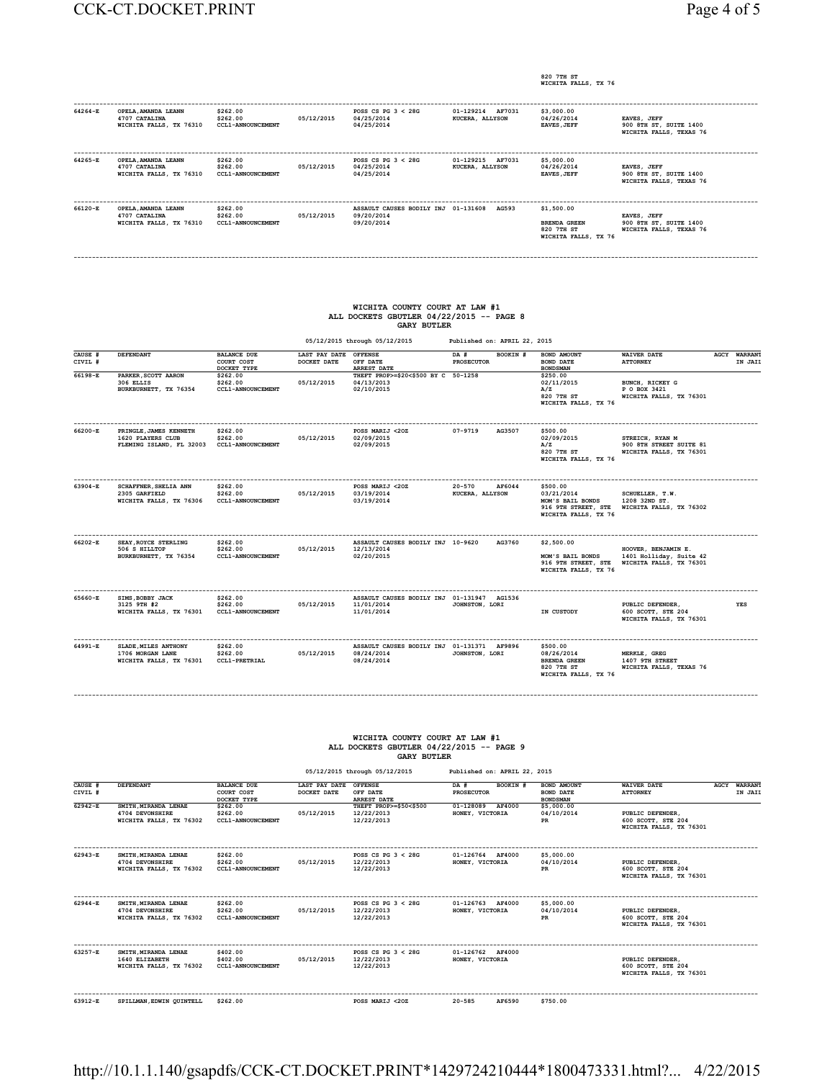**820 7TH ST WICHITA FALLS, TX 76**

| 64264-E | OPELA, AMANDA LEANN<br>4707 CATALINA<br>WICHITA FALLS, TX 76310 | \$262.00<br>\$262.00<br><b>CCL1-ANNOUNCEMENT</b> | 05/12/2015 | POSS CS PG $3 < 28$ G<br>04/25/2014<br>04/25/2014               | 01-129214 AF7031<br>KUCERA, ALLYSON    | \$3,000.00<br>04/26/2014<br><b>EAVES, JEFF</b>                          | EAVES, JEFF<br>900 8TH ST, SUITE 1400<br>WICHITA FALLS, TEXAS 76 |
|---------|-----------------------------------------------------------------|--------------------------------------------------|------------|-----------------------------------------------------------------|----------------------------------------|-------------------------------------------------------------------------|------------------------------------------------------------------|
| 64265-E | OPELA, AMANDA LEANN<br>4707 CATALINA<br>WICHITA FALLS, TX 76310 | \$262.00<br>\$262.00<br><b>CCL1-ANNOUNCEMENT</b> | 05/12/2015 | POSS CS PG $3 < 28$ G<br>04/25/2014<br>04/25/2014               | 01-129215<br>AF7031<br>KUCERA, ALLYSON | \$5,000.00<br>04/26/2014<br><b>EAVES, JEFF</b>                          | EAVES, JEFF<br>900 8TH ST. SUITE 1400<br>WICHITA FALLS, TEXAS 76 |
| 66120-E | OPELA, AMANDA LEANN<br>4707 CATALINA<br>WICHITA FALLS, TX 76310 | \$262.00<br>\$262.00<br><b>CCL1-ANNOUNCEMENT</b> | 05/12/2015 | ASSAULT CAUSES BODILY INJ 01-131608<br>09/20/2014<br>09/20/2014 | AG593                                  | \$1,500.00<br><b>BRENDA GREEN</b><br>820 7TH ST<br>WICHITA FALLS, TX 76 | EAVES, JEFF<br>900 8TH ST, SUITE 1400<br>WICHITA FALLS, TEXAS 76 |

**------------------------------------------------------------------------------------------------------------------------------------------------------------------------------------------**

## **WICHITA COUNTY COURT AT LAW #1 ALL DOCKETS GBUTLER 04/22/2015 -- PAGE 8 GARY BUTLER**

| 05/12/2015 through 05/12/2015 | Published on: APRIL 22, 2015 |
|-------------------------------|------------------------------|
|                               |                              |

| CAUSE #<br>CIVIL # | DEFENDANT                                                                | <b>BALANCE DUE</b><br>COURT COST<br>DOCKET TYPE  | LAST PAY DATE<br>DOCKET DATE | <b>OFFENSE</b><br>OFF DATE<br><b>ARREST DATE</b>                       | DA #<br><b>PROSECUTOR</b>     | BOOKIN # | <b>BOND AMOUNT</b><br><b>BOND DATE</b><br><b>BONDSMAN</b>                                 | <b>WAIVER DATE</b><br><b>ATTORNEY</b>                                     | <b>AGCY WARRANT</b><br>IN JAIL |
|--------------------|--------------------------------------------------------------------------|--------------------------------------------------|------------------------------|------------------------------------------------------------------------|-------------------------------|----------|-------------------------------------------------------------------------------------------|---------------------------------------------------------------------------|--------------------------------|
| $66198 - E$        | PARKER, SCOTT AARON<br>306 ELLIS<br>BURKBURNETT, TX 76354                | \$262.00<br>\$262.00<br><b>CCL1-ANNOUNCEMENT</b> | 05/12/2015                   | THEFT PROP>=\$20<\$500 BY C 50-1258<br>04/13/2013<br>02/10/2015        |                               |          | \$250.00<br>02/11/2015<br>A/Z<br>820 7TH ST<br>WICHITA FALLS, TX 76                       | BUNCH, RICKEY G<br>P O BOX 3421<br>WICHITA FALLS, TX 76301                |                                |
| 66200-E            | PRINGLE, JAMES KENNETH<br>1620 PLAYERS CLUB<br>FLEMING ISLAND, FL 32003  | \$262.00<br>\$262.00<br><b>CCL1-ANNOUNCEMENT</b> | 05/12/2015                   | POSS MARIJ <20Z<br>02/09/2015<br>02/09/2015                            | $07 - 9719$                   | AG3507   | \$500.00<br>02/09/2015<br>A/Z<br>820 7TH ST<br>WICHITA FALLS, TX 76                       | STREICH, RYAN M<br>900 8TH STREET SUITE 81<br>WICHITA FALLS, TX 76301     |                                |
| 63904-E            | <b>SCHAFFNER, SHELIA ANN</b><br>2305 GARFIELD<br>WICHITA FALLS, TX 76306 | \$262.00<br>\$262.00<br><b>CCL1-ANNOUNCEMENT</b> | 05/12/2015                   | POSS MARIJ <20Z<br>03/19/2014<br>03/19/2014                            | $20 - 570$<br>KUCERA, ALLYSON | AF6044   | \$500.00<br>03/21/2014<br>MOM'S BAIL BONDS<br>916 9TH STREET, STE<br>WICHITA FALLS, TX 76 | SCHUELLER, T.W.<br>1208 32ND ST.<br>WICHITA FALLS, TX 76302               |                                |
| 66202-E            | SEAY, ROYCE STERLING<br>506 S HILLTOP<br>BURKBURNETT, TX 76354           | \$262.00<br>\$262.00<br><b>CCL1-ANNOUNCEMENT</b> | 05/12/2015                   | ASSAULT CAUSES BODILY INJ 10-9620<br>12/13/2014<br>02/20/2015          |                               | AG3760   | \$2,500.00<br>MOM'S BAIL BONDS<br>916 9TH STREET, STE<br>WICHITA FALLS, TX 76             | HOOVER, BENJAMIN E.<br>1401 Holliday, Suite 42<br>WICHITA FALLS, TX 76301 |                                |
| 65660-E            | SIMS, BOBBY JACK<br>3125 9TH #2<br>WICHITA FALLS, TX 76301               | \$262.00<br>\$262.00<br><b>CCL1-ANNOUNCEMENT</b> | 05/12/2015                   | ASSAULT CAUSES BODILY INJ 01-131947 AG1536<br>11/01/2014<br>11/01/2014 | JOHNSTON, LORI                |          | IN CUSTODY                                                                                | PUBLIC DEFENDER,<br>600 SCOTT, STE 204<br>WICHITA FALLS, TX 76301         | YES                            |
| 64991-E            | SLADE, MILES ANTHONY<br>1706 MORGAN LANE<br>WICHITA FALLS, TX 76301      | \$262.00<br>\$262.00<br><b>CCL1-PRETRIAL</b>     | 05/12/2015                   | ASSAULT CAUSES BODILY INJ 01-131371 AF9896<br>08/24/2014<br>08/24/2014 | JOHNSTON, LORI                |          | \$500.00<br>08/26/2014<br><b>BRENDA GREEN</b><br>820 7TH ST<br>WICHITA FALLS, TX 76       | MERKLE, GREG<br>1407 9TH STREET<br>WICHITA FALLS, TEXAS 76                |                                |

# **WICHITA COUNTY COURT AT LAW #1 ALL DOCKETS GBUTLER 04/22/2015 -- PAGE 9 GARY BUTLER**

**------------------------------------------------------------------------------------------------------------------------------------------------------------------------------------------**

| 05/12/2015 through 05/12/2015 | Published on: APRIL 22, 2015 |
|-------------------------------|------------------------------|
|                               |                              |

| CAUSE #<br>CIVIL # | <b>DEFENDANT</b>                                                   | <b>BALANCE DUE</b><br>COURT COST<br>DOCKET TYPE  | LAST PAY DATE<br>DOCKET DATE | <b>OFFENSE</b><br>OFF DATE<br><b>ARREST DATE</b>   | BOOKIN #<br>DA #<br><b>PROSECUTOR</b>  | <b>BOND AMOUNT</b><br><b>BOND DATE</b><br><b>BONDSMAN</b> | <b>WAIVER DATE</b><br><b>ATTORNEY</b>                             | AGCY | <b>WARRANT</b><br>IN JAII |
|--------------------|--------------------------------------------------------------------|--------------------------------------------------|------------------------------|----------------------------------------------------|----------------------------------------|-----------------------------------------------------------|-------------------------------------------------------------------|------|---------------------------|
| 62942-E            | SMITH. MIRANDA LENAE<br>4704 DEVONSHIRE<br>WICHITA FALLS, TX 76302 | \$262.00<br>\$262.00<br><b>CCL1-ANNOUNCEMENT</b> | 05/12/2015                   | THEFT PROP>=\$50<\$500<br>12/22/2013<br>12/22/2013 | AF4000<br>01-128089<br>HONEY, VICTORIA | \$5,000.00<br>04/10/2014<br>PR                            | PUBLIC DEFENDER.<br>600 SCOTT, STE 204<br>WICHITA FALLS, TX 76301 |      |                           |
| 62943-E            | SMITH. MIRANDA LENAE<br>4704 DEVONSHIRE<br>WICHITA FALLS, TX 76302 | \$262.00<br>\$262.00<br><b>CCL1-ANNOUNCEMENT</b> | 05/12/2015                   | POSS CS PG $3 < 28$ G<br>12/22/2013<br>12/22/2013  | 01-126764 AF4000<br>HONEY, VICTORIA    | \$5,000.00<br>04/10/2014<br>PR                            | PUBLIC DEFENDER.<br>600 SCOTT, STE 204<br>WICHITA FALLS, TX 76301 |      |                           |
| 62944-E            | SMITH. MIRANDA LENAE<br>4704 DEVONSHIRE<br>WICHITA FALLS, TX 76302 | \$262.00<br>\$262.00<br><b>CCL1-ANNOUNCEMENT</b> | 05/12/2015                   | POSS CS PG $3 < 28$ G<br>12/22/2013<br>12/22/2013  | 01-126763 AF4000<br>HONEY, VICTORIA    | \$5,000.00<br>04/10/2014<br>PR                            | PUBLIC DEFENDER.<br>600 SCOTT, STE 204<br>WICHITA FALLS, TX 76301 |      |                           |
| 63257-E            | SMITH. MIRANDA LENAE<br>1640 ELIZABETH<br>WICHITA FALLS, TX 76302  | \$402.00<br>\$402.00<br><b>CCL1-ANNOUNCEMENT</b> | 05/12/2015                   | POSS CS PG $3 < 28$ G<br>12/22/2013<br>12/22/2013  | 01-126762 AF4000<br>HONEY, VICTORIA    |                                                           | PUBLIC DEFENDER.<br>600 SCOTT, STE 204<br>WICHITA FALLS, TX 76301 |      |                           |
| 63912-E            | SPILLMAN, EDWIN OUINTELL                                           | \$262.00                                         |                              | POSS MARIJ <20Z                                    | $20 - 585$<br>AF6590                   | \$750.00                                                  |                                                                   |      |                           |